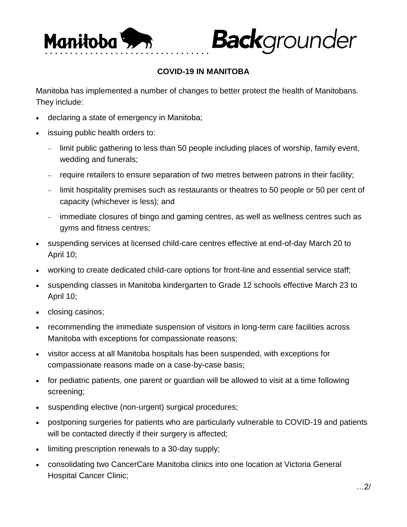

## **COVID-19 IN MANITOBA**

**Back**grounder

Manitoba has implemented a number of changes to better protect the health of Manitobans. They include:

- declaring a state of emergency in Manitoba;
- issuing public health orders to:
	- limit public gathering to less than 50 people including places of worship, family event, wedding and funerals;
	- require retailers to ensure separation of two metres between patrons in their facility;
	- limit hospitality premises such as restaurants or theatres to 50 people or 50 per cent of capacity (whichever is less); and
	- immediate closures of bingo and gaming centres, as well as wellness centres such as gyms and fitness centres;
- suspending services at licensed child-care centres effective at end-of-day March 20 to April 10;
- working to create dedicated child-care options for front-line and essential service staff;
- suspending classes in Manitoba kindergarten to Grade 12 schools effective March 23 to April 10;
- closing casinos;
- recommending the immediate suspension of visitors in long-term care facilities across Manitoba with exceptions for compassionate reasons;
- visitor access at all Manitoba hospitals has been suspended, with exceptions for compassionate reasons made on a case-by-case basis;
- for pediatric patients, one parent or guardian will be allowed to visit at a time following screening;
- suspending elective (non-urgent) surgical procedures;
- postponing surgeries for patients who are particularly vulnerable to COVID-19 and patients will be contacted directly if their surgery is affected;
- limiting prescription renewals to a 30-day supply;
- consolidating two CancerCare Manitoba clinics into one location at Victoria General Hospital Cancer Clinic;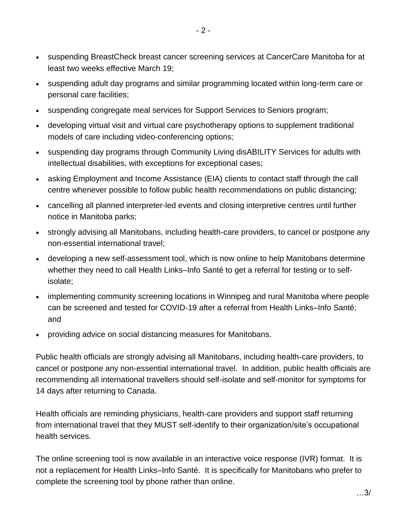- suspending BreastCheck breast cancer screening services at CancerCare Manitoba for at least two weeks effective March 19;
- suspending adult day programs and similar programming located within long-term care or personal care facilities;
- suspending congregate meal services for Support Services to Seniors program;
- developing virtual visit and virtual care psychotherapy options to supplement traditional models of care including video-conferencing options;
- suspending day programs through Community Living disABILITY Services for adults with intellectual disabilities, with exceptions for exceptional cases;
- asking Employment and Income Assistance (EIA) clients to contact staff through the call centre whenever possible to follow public health recommendations on public distancing;
- cancelling all planned interpreter-led events and closing interpretive centres until further notice in Manitoba parks;
- strongly advising all Manitobans, including health-care providers, to cancel or postpone any non-essential international travel;
- developing a new self-assessment tool, which is now online to help Manitobans determine whether they need to call Health Links–Info Santé to get a referral for testing or to selfisolate;
- implementing community screening locations in Winnipeg and rural Manitoba where people can be screened and tested for COVID-19 after a referral from Health Links–Info Santé; and
- providing advice on social distancing measures for Manitobans.

Public health officials are strongly advising all Manitobans, including health-care providers, to cancel or postpone any non-essential international travel. In addition, public health officials are recommending all international travellers should self-isolate and self-monitor for symptoms for 14 days after returning to Canada.

Health officials are reminding physicians, health-care providers and support staff returning from international travel that they MUST self-identify to their organization/site's occupational health services.

The online screening tool is now available in an interactive voice response (IVR) format. It is not a replacement for Health Links–Info Santé. It is specifically for Manitobans who prefer to complete the screening tool by phone rather than online.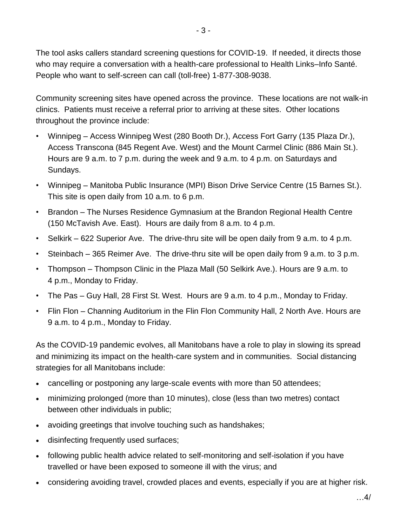The tool asks callers standard screening questions for COVID-19. If needed, it directs those who may require a conversation with a health-care professional to Health Links–Info Santé. People who want to self-screen can call (toll-free) 1-877-308-9038.

Community screening sites have opened across the province. These locations are not walk-in clinics. Patients must receive a referral prior to arriving at these sites. Other locations throughout the province include:

- Winnipeg Access Winnipeg West (280 Booth Dr.), Access Fort Garry (135 Plaza Dr.), Access Transcona (845 Regent Ave. West) and the Mount Carmel Clinic (886 Main St.). Hours are 9 a.m. to 7 p.m. during the week and 9 a.m. to 4 p.m. on Saturdays and Sundays.
- Winnipeg Manitoba Public Insurance (MPI) Bison Drive Service Centre (15 Barnes St.). This site is open daily from 10 a.m. to 6 p.m.
- Brandon The Nurses Residence Gymnasium at the Brandon Regional Health Centre (150 McTavish Ave. East). Hours are daily from 8 a.m. to 4 p.m.
- Selkirk 622 Superior Ave. The drive-thru site will be open daily from 9 a.m. to 4 p.m.
- Steinbach 365 Reimer Ave. The drive-thru site will be open daily from 9 a.m. to 3 p.m.
- Thompson Thompson Clinic in the Plaza Mall (50 Selkirk Ave.). Hours are 9 a.m. to 4 p.m., Monday to Friday.
- The Pas Guy Hall, 28 First St. West. Hours are 9 a.m. to 4 p.m., Monday to Friday.
- Flin Flon Channing Auditorium in the Flin Flon Community Hall, 2 North Ave. Hours are 9 a.m. to 4 p.m., Monday to Friday.

As the COVID-19 pandemic evolves, all Manitobans have a role to play in slowing its spread and minimizing its impact on the health-care system and in communities. Social distancing strategies for all Manitobans include:

- cancelling or postponing any large-scale events with more than 50 attendees;
- minimizing prolonged (more than 10 minutes), close (less than two metres) contact between other individuals in public;
- avoiding greetings that involve touching such as handshakes;
- disinfecting frequently used surfaces;
- following public health advice related to self-monitoring and self-isolation if you have travelled or have been exposed to someone ill with the virus; and
- considering avoiding travel, crowded places and events, especially if you are at higher risk.